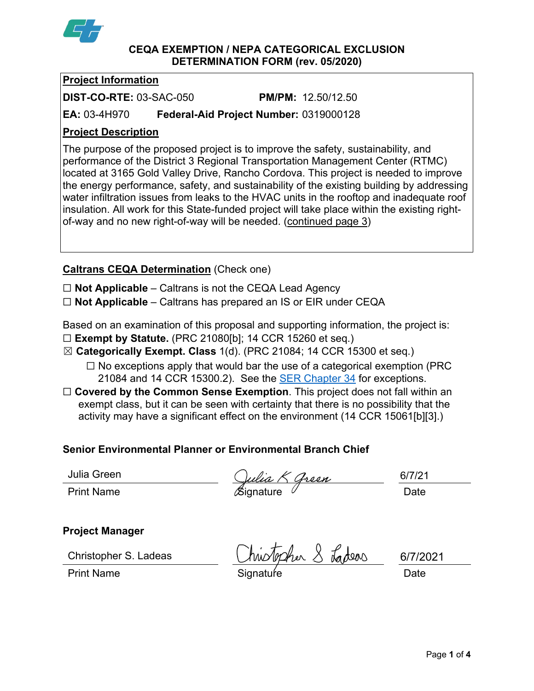

**CEQA EXEMPTION / NEPA CATEGORICAL EXCLUSION DETERMINATION FORM (rev. 05/2020)**

# **Project Information**

**DIST-CO-RTE:** 03-SAC-050 **PM/PM:** 12.50/12.50

**EA:** 03-4H970 **Federal-Aid Project Number:** 0319000128

## **Project Description**

The purpose of the proposed project is to improve the safety, sustainability, and performance of the District 3 Regional Transportation Management Center (RTMC) located at 3165 Gold Valley Drive, Rancho Cordova. This project is needed to improve the energy performance, safety, and sustainability of the existing building by addressing water infiltration issues from leaks to the HVAC units in the rooftop and inadequate roof insulation. All work for this State-funded project will take place within the existing rightof-way and no new right-of-way will be needed. (continued page 3)

# **Caltrans CEQA Determination** (Check one)

☐ **Not Applicable** – Caltrans is not the CEQA Lead Agency

☐ **Not Applicable** – Caltrans has prepared an IS or EIR under CEQA

Based on an examination of this proposal and supporting information, the project is:

- ☐ **Exempt by Statute.** (PRC 21080[b]; 14 CCR 15260 et seq.)
- ☒ **Categorically Exempt. Class** 1(d). (PRC 21084; 14 CCR 15300 et seq.)
	- $\Box$  No exceptions apply that would bar the use of a categorical exemption (PRC 21084 and 14 CCR 15300.2). See the **SER Chapter 34** for exceptions.
- □ **Covered by the Common Sense Exemption**. This project does not fall within an exempt class, but it can be seen with certainty that there is no possibility that the activity may have a significant effect on the environment (14 CCR 15061[b][3].)

# **Senior Environmental Planner or Environmental Branch Chief**

Julia Green

Print Name  $\infty$  Signature  $\infty$  Date

6/7/21

### **Project Manager**

Christopher S. Ladeas

topher 8 Ladeas

Print Name **Signature** Signature **Signature Signature Date** 

6/7/2021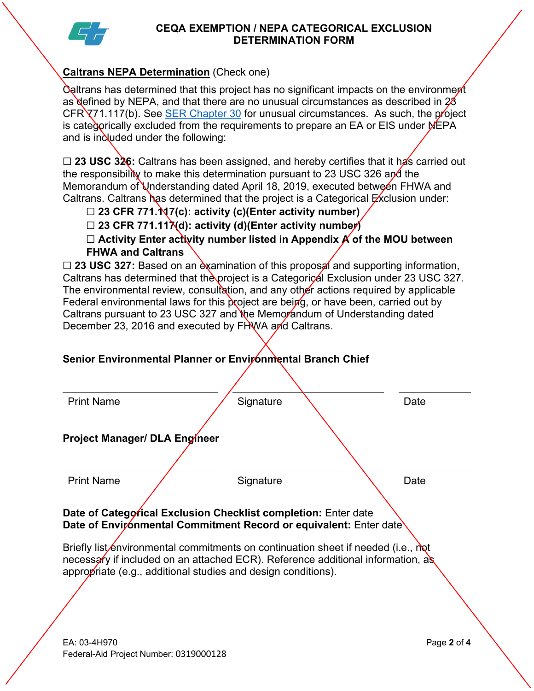

#### **CEQA EXEMPTION / NEPA CATEGORICAL EXCLUSION DETERMINATION FORM**

# **Caltrans NEPA Determination** (Check one)

Caltrans has determined that this project has no significant impacts on the environment as defined by NEPA, and that there are no unusual circumstances as described in  $28$  $CFR\overline{X}$ 71.117(b). See [SER Chapter 30](https://dot.ca.gov/programs/environmental-analysis/standard-environmental-reference-ser/volume-1-guidance-for-compliance/ch-30-categorical-exclusions#exception) for unusual circumstances. As such, the project is categorically excluded from the requirements to prepare an EA or EIS under NEPA and is included under the following:

□ 23 USC 326: Caltrans has been assigned, and hereby certifies that it has carried out the responsibility to make this determination pursuant to 23 USC 326 and the Memorandum of Understanding dated April 18, 2019, executed between FHWA and Caltrans. Caltrans has determined that the project is a Categorical  $Ex$ clusion under:

- ☐ **23 CFR 771.117(c): activity (c)(Enter activity number)**
- ☐ **23 CFR 771.117(d): activity (d)(Enter activity number)**

☐ **Activity Enter activity number listed in Appendix A of the MOU between FHWA and Caltrans**

□ 23 USC 327: Based on an examination of this proposal and supporting information, Caltrans has determined that the project is a Categorical Exclusion under 23 USC 327. The environmental review, consultation, and any other actions required by applicable Federal environmental laws for this project are being, or have been, carried out by Caltrans pursuant to 23 USC 327 and the Memorandum of Understanding dated December 23, 2016 and executed by FHWA and Caltrans.

# **Senior Environmental Planner or Environmental Branch Chief**

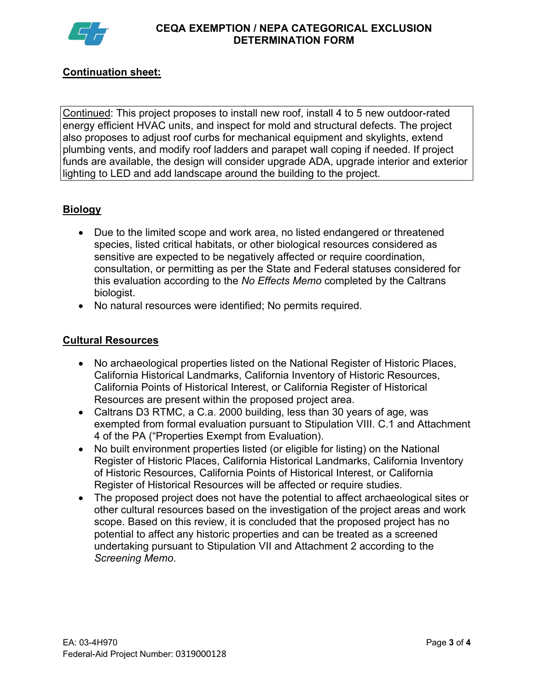

# **Continuation sheet:**

Continued: This project proposes to install new roof, install 4 to 5 new outdoor-rated energy efficient HVAC units, and inspect for mold and structural defects. The project also proposes to adjust roof curbs for mechanical equipment and skylights, extend plumbing vents, and modify roof ladders and parapet wall coping if needed. If project funds are available, the design will consider upgrade ADA, upgrade interior and exterior lighting to LED and add landscape around the building to the project.

## **Biology**

- Due to the limited scope and work area, no listed endangered or threatened species, listed critical habitats, or other biological resources considered as sensitive are expected to be negatively affected or require coordination, consultation, or permitting as per the State and Federal statuses considered for this evaluation according to the *No Effects Memo* completed by the Caltrans biologist.
- No natural resources were identified; No permits required.

#### **Cultural Resources**

- No archaeological properties listed on the National Register of Historic Places, California Historical Landmarks, California Inventory of Historic Resources, California Points of Historical Interest, or California Register of Historical Resources are present within the proposed project area.
- Caltrans D3 RTMC, a C.a. 2000 building, less than 30 years of age, was exempted from formal evaluation pursuant to Stipulation VIII. C.1 and Attachment 4 of the PA ("Properties Exempt from Evaluation).
- No built environment properties listed (or eligible for listing) on the National Register of Historic Places, California Historical Landmarks, California Inventory of Historic Resources, California Points of Historical Interest, or California Register of Historical Resources will be affected or require studies.
- The proposed project does not have the potential to affect archaeological sites or other cultural resources based on the investigation of the project areas and work scope. Based on this review, it is concluded that the proposed project has no potential to affect any historic properties and can be treated as a screened undertaking pursuant to Stipulation VII and Attachment 2 according to the *Screening Memo*.